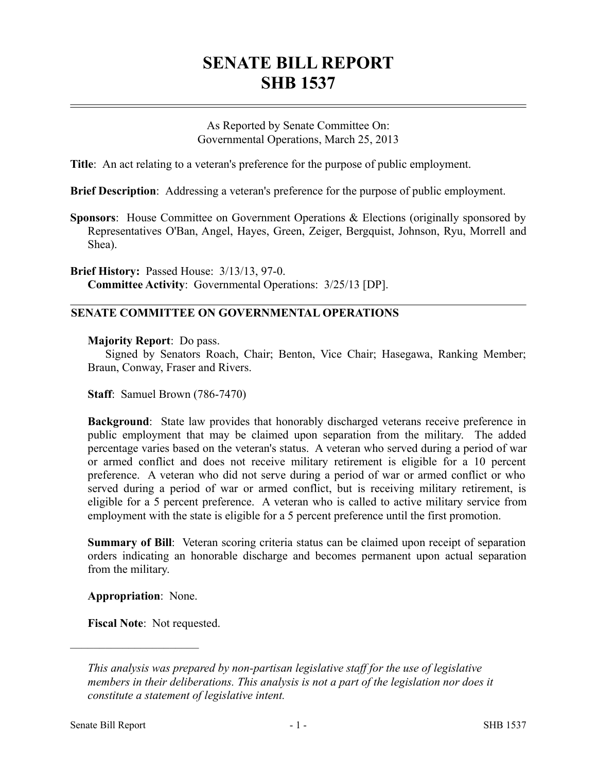## **SENATE BILL REPORT SHB 1537**

As Reported by Senate Committee On: Governmental Operations, March 25, 2013

**Title**: An act relating to a veteran's preference for the purpose of public employment.

**Brief Description**: Addressing a veteran's preference for the purpose of public employment.

**Sponsors**: House Committee on Government Operations & Elections (originally sponsored by Representatives O'Ban, Angel, Hayes, Green, Zeiger, Bergquist, Johnson, Ryu, Morrell and Shea).

**Brief History:** Passed House: 3/13/13, 97-0. **Committee Activity**: Governmental Operations: 3/25/13 [DP].

## **SENATE COMMITTEE ON GOVERNMENTAL OPERATIONS**

## **Majority Report**: Do pass.

Signed by Senators Roach, Chair; Benton, Vice Chair; Hasegawa, Ranking Member; Braun, Conway, Fraser and Rivers.

**Staff**: Samuel Brown (786-7470)

**Background**: State law provides that honorably discharged veterans receive preference in public employment that may be claimed upon separation from the military. The added percentage varies based on the veteran's status. A veteran who served during a period of war or armed conflict and does not receive military retirement is eligible for a 10 percent preference. A veteran who did not serve during a period of war or armed conflict or who served during a period of war or armed conflict, but is receiving military retirement, is eligible for a 5 percent preference. A veteran who is called to active military service from employment with the state is eligible for a 5 percent preference until the first promotion.

**Summary of Bill**: Veteran scoring criteria status can be claimed upon receipt of separation orders indicating an honorable discharge and becomes permanent upon actual separation from the military.

**Appropriation**: None.

––––––––––––––––––––––

**Fiscal Note**: Not requested.

*This analysis was prepared by non-partisan legislative staff for the use of legislative members in their deliberations. This analysis is not a part of the legislation nor does it constitute a statement of legislative intent.*